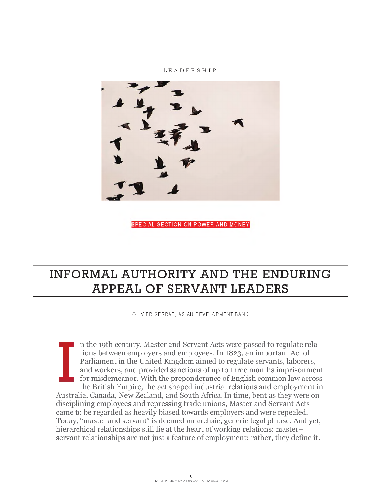#### LEADERSHIP



SPECIAL SECTION ON POWER AND MONEY

# INFORMAL AUTHORITY AND THE ENDURING APPEAL OF SERVANT LEADERS

OLIVIER SERRAT, ASIAN DEVELOPMENT BANK

I n the 19th century, Master and Servant Acts were passed to regulate relations between employers and employees. In 1823, an important Act of Parliament in the United Kingdom aimed to regulate servants, laborers, and workers, and provided sanctions of up to three months imprisonment for misdemeanor. With the preponderance of English common law across the British Empire, the act shaped industrial relations and employment in Australia, Canada, New Zealand, and South Africa. In time, bent as they were on disciplining employees and repressing trade unions, Master and Servant Acts came to be regarded as heavily biased towards employers and were repealed. Today, "master and servant" is deemed an archaic, generic legal phrase. And yet, hierarchical relationships still lie at the heart of working relations: masterservant relationships are not just a feature of employment; rather, they define it.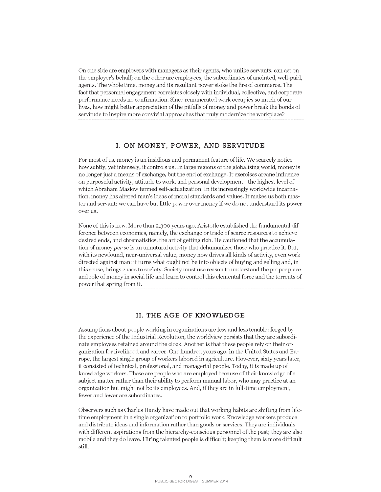On one side are employers with managers as their agents, who unlike servants, can act on the employer's behalf; on the other are employees, the subordinates of anointed, well-paid, agents. The whole time, money and its resultant power stoke the fire of commerce. The fact that personnel engagement correlates closely with individual, collective, and corporate performance needs no confirmation. Since remunerated work occupies so much of our lives, how might better appreciation of the pitfalls of money and power break the bonds of servitude to inspire more convivial approaches that truly modernize the workplace?

#### **I. ON MONEY, POWER, AND SERVITUDE**

For most of us, money is an insidious and permanent feature of life. We scarcely notice how subtly, yet intensely, it controls us.In large regions of the globalizing world, money is no longer just a means of exchange, but the end of exchange. It exercises arcane influence on purposeful activity, attitude to work, and personal development—the highest level of which Abraham Maslow termed self-actualization. In its increasingly worldwide incarnation, money has altered man's ideas of moral standards and values. It makes us both master and servant; we can have but little power over money if we do not understand its power over us.

None of this is new. More than 2,300 years ago, Aristotle established the fundamental difference between economics, namely, the exchange or trade of scarce resources to achieve desired ends, and chrematistics, the art of getting rich. He cautioned that the accumulation of moneyper *se* is an unnatural activity that dehumanizes those who practice it. But, with its newfound, near-universal value, money now drives all kinds of activity, even work directed against man: it turns what ought not be into objects of buying and selling and, in this sense, brings chaos to society. Society must use reason to understand the proper place and role of money in social life and learn to control this elemental force and the torrents of power that spring from it.

#### **II. THE AGE OF KNOWLEDGE**

Assumptions about people working in organizations are less and less tenable: forged by the experience of the Industrial Revolution, the worldview persists that they are subordinate employees retained around the clock. Another is that these people rely on their organization for livelihood and career. One hundred years ago, in the United States and Europe, the largest single group of workers labored in agriculture. However, sixty years later, it consisted of technical, professional, and managerial people. Today, it is made up of knowledge workers. These are people who are employed because of their knowledge of a subject matter rather than their ability to perform manual labor, who may practice at an organization but might not be its employees. And, if they are in full-time employment, fewer and fewer are subordinates.

Observers such as Charles Handy have made out that working habits are shifting from lifetime employment in a single organization to portfolio work. Knowledge workers produce and distribute ideas and information rather than goods or services. They are individuals with different aspirations from the hierarchy-conscious personnel of the past; they are also mobile and they do leave. Hiring talented people is difficult; keeping them is more difficult still.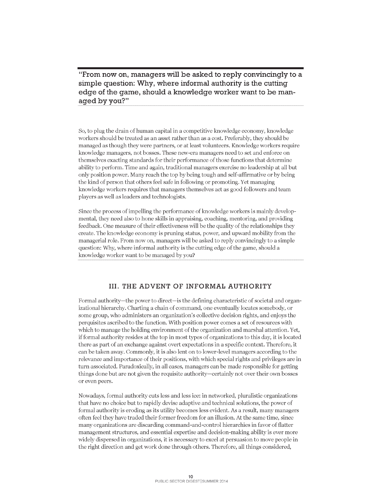**"From now on, managers will be asked to reply convincingly to a simple question: Why, where informal authority is the cutting edge of the game, should a knowledge worker want to be managed by you?"**

So, to plug the drain of human capital in a competitive knowledge economy, knowledge workers should be treated as an asset rather than as a cost. Preferably, they should be managed as though they were partners, or at least volunteers. Knowledge workers require knowledge managers, notbosses. These new-era managers need to set and enforce on themselves exacting standards for their performance of those functions that determine ability to perform. Time and again, traditional managers exercise no leadership at all but only position power. Many reach the top by being tough and self-affirmative or by being the kind of person that others feel safe in following or promoting. Yet managing knowledge workers requires that managers themselves act as good followers and team players as well as leaders and technologists.

Since the process of impelling the performance of knowledge workers is mainly developmental, they need also to hone skills in appraising, coaching, mentoring, and providing feedback. One measure of their effectiveness will be the quality of the relationships they create. The knowledge economy is pruning status, power, and upward mobility from the managerial role. From now on, managers will be asked to reply convincingly to a simple question: Why, where informal authority is the cutting edge of the game, should a knowledge worker want to be managed by you?

## **III. THE ADVENT OF INFORMAL AUTHORITY**

Formal authority—the power to direct—is the defining characteristic of societal and organizational hierarchy. Charting a chain of command, one eventually locates somebody, or some group, who administers an organization's collective decision rights, and enjoys the perquisites ascribed to the function. With position power comes a set of resources with which to manage the holding environment of the organization and marshal attention. Yet, if formal authority resides at the top in most types of organizations to this day, it is located there as part of an exchange against overt expectations in a specific context. Therefore, it can be taken away. Commonly, it is also lent on to lower-level managers according to the relevance and importance of their positions, with which special rights and privileges are in turn associated. Paradoxically, in all cases, managers can be made responsible for getting things done but are not given the requisite authority—certainly not over their own bosses or even peers.

Nowadays, formal authority cuts less and less ice: in networked, pluralistic organizations that have no choice but to rapidly devise adaptive and technical solutions, the power of formal authority is eroding as its utility becomes less evident. As a result, many managers often feel they have traded their former freedom for an illusion. At the same time, since many organizations are discarding command-and-control hierarchies in favor of flatter management structures, and essential expertise and decision-making ability is ever more widely dispersed in organizations, it is necessary to excel at persuasion to move people in the right direction and get work done through others. Therefore, all things considered,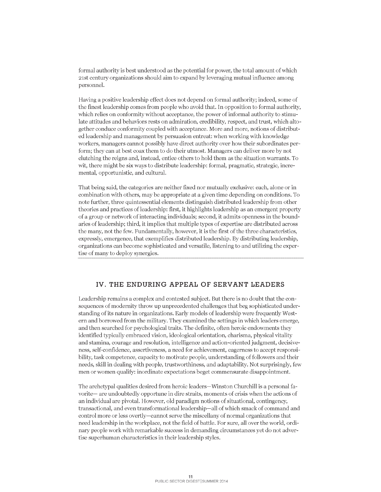formal authority is best understood as the potential for power, the total amount of which 2lst century organizations should aim to expand by leveraging mutual influence among personnel.

Having a positive leadership effect does not depend on formal authority; indeed, some of the finest leadership comes from people who avoid that. In opposition to formal authority, which relies on conformity without acceptance, the power of informal authority to stimulate attitudes and behaviors rests on admiration, credibility, respect, and trust, which altogether conduce conformity coupled with acceptance. More and more, notions of distributed leadership and management by persuasion entreat: when working with knowledge workers, managers cannot possibly have direct authority over how their subordinates perform; they can at best coax them to do their utmost. Managers can deliver more by not clutching the reigns and, instead, entice others to hold them as the situation warrants. To wit, there might be six ways to distribute leadership: formal, pragmatic, strategic, incremental, opportunistic, and cultural.

That being said, the categories are neither fixed nor mutually exclusive: each, alone or in combination with others, may be appropriate at a given time depending on conditions. To note further, three quintessential elements distinguish distributed leadership from other theories and practices ofleadership: first, it highlights leadership as an emergent property of a group or network of interacting individuals; second, it admits openness in the boundaries of leadership; third, it implies that multiple types of expertise are distributed across the many, not the few. Fundamentally, however, it is the first of the three characteristics, expressly, emergence, that exemplifies distributed leadership. By distributing leadership, organizations can become sophisticated and versatile, listening to and utilizing the expertise of many to deploy synergies.

### **IV. THE ENDURING APPEAL OF SERVANT LEADERS**

Leadership remains a complex and contested subject. But there is no doubt that the consequences of modernity throw up unprecedented challenges that beg sophisticated understanding of its nature in organizations. Early models of leadership were frequently Western and borrowed from the military. They examined the settings in which leaders emerge, and then searched for psychological traits. The definite, often heroic endowments they identified typically embraced vision, ideological orientation, charisma, physical vitality and stamina, courage and resolution, intelligence and action-orientedjudgment, decisiveness, self-confidence, assertiveness, a need for achievement, eagerness to accept responsibility, task competence, capacity to motivate people, understanding of followers and their needs, skill in dealing with people, trustworthiness, and adaptability. Not surprisingly, few men or women qualify: inordinate expectations beget commensurate disappointment.

The archetypal qualities desired from heroic leaders—Winston Churchill is a personal favorite— are undoubtedly opportune in dire straits, moments of crisis when the actions of an individual are pivotal. However, old paradigm notions of situational, contingency, transactional, and even transformational leadership-all of which smack of command and control more or less overtly—cannot serve the miscellany of normal organizations that need leadership in the workplace, not the field of battle. For sure, all over the world, ordinary people work with remarkable success in demanding circumstances yet do not advertise superhuman characteristics in their leadership styles.